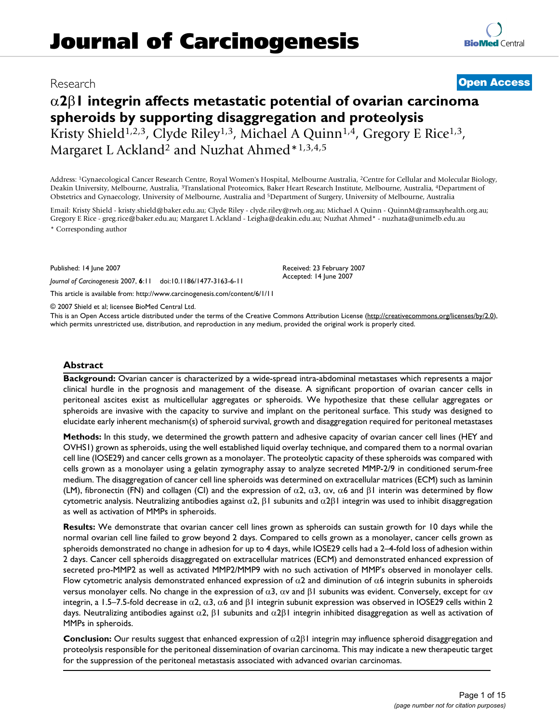# Research **[Open Access](http://www.biomedcentral.com/info/about/charter/)**

# α**2**β**1 integrin affects metastatic potential of ovarian carcinoma spheroids by supporting disaggregation and proteolysis** Kristy Shield<sup>1,2,3</sup>, Clyde Riley<sup>1,3</sup>, Michael A Quinn<sup>1,4</sup>, Gregory E Rice<sup>1,3</sup>, Margaret L Ackland<sup>2</sup> and Nuzhat Ahmed\*1,3,4,5

Address: 1Gynaecological Cancer Research Centre, Royal Women's Hospital, Melbourne Australia, 2Centre for Cellular and Molecular Biology, Deakin University, Melbourne, Australia, 3Translational Proteomics, Baker Heart Research Institute, Melbourne, Australia, 4Department of Obstetrics and Gynaecology, University of Melbourne, Australia and 5Department of Surgery, University of Melbourne, Australia

Email: Kristy Shield - kristy.shield@baker.edu.au; Clyde Riley - clyde.riley@rwh.org.au; Michael A Quinn - QuinnM@ramsayhealth.org.au; Gregory E Rice - greg.rice@baker.edu.au; Margaret L Ackland - Leigha@deakin.edu.au; Nuzhat Ahmed\* - nuzhata@unimelb.edu.au \* Corresponding author

Published: 14 June 2007

*Journal of Carcinogenesis* 2007, **6**:11 doi:10.1186/1477-3163-6-11

[This article is available from: http://www.carcinogenesis.com/content/6/1/11](http://www.carcinogenesis.com/content/6/1/11)

© 2007 Shield et al; licensee BioMed Central Ltd.

This is an Open Access article distributed under the terms of the Creative Commons Attribution License [\(http://creativecommons.org/licenses/by/2.0\)](http://creativecommons.org/licenses/by/2.0), which permits unrestricted use, distribution, and reproduction in any medium, provided the original work is properly cited.

#### **Abstract**

**Background:** Ovarian cancer is characterized by a wide-spread intra-abdominal metastases which represents a major clinical hurdle in the prognosis and management of the disease. A significant proportion of ovarian cancer cells in peritoneal ascites exist as multicellular aggregates or spheroids. We hypothesize that these cellular aggregates or spheroids are invasive with the capacity to survive and implant on the peritoneal surface. This study was designed to elucidate early inherent mechanism(s) of spheroid survival, growth and disaggregation required for peritoneal metastases

**Methods:** In this study, we determined the growth pattern and adhesive capacity of ovarian cancer cell lines (HEY and OVHS1) grown as spheroids, using the well established liquid overlay technique, and compared them to a normal ovarian cell line (IOSE29) and cancer cells grown as a monolayer. The proteolytic capacity of these spheroids was compared with cells grown as a monolayer using a gelatin zymography assay to analyze secreted MMP-2/9 in conditioned serum-free medium. The disaggregation of cancer cell line spheroids was determined on extracellular matrices (ECM) such as laminin (LM), fibronectin (FN) and collagen (CI) and the expression of  $\alpha$ 2,  $\alpha$ 3,  $\alpha$ v,  $\alpha$ 6 and  $\beta$ I interin was determined by flow cytometric analysis. Neutralizing antibodies against  $\alpha$ 2, β1 subunits and  $\alpha$ 2β1 integrin was used to inhibit disaggregation as well as activation of MMPs in spheroids.

**Results:** We demonstrate that ovarian cancer cell lines grown as spheroids can sustain growth for 10 days while the normal ovarian cell line failed to grow beyond 2 days. Compared to cells grown as a monolayer, cancer cells grown as spheroids demonstrated no change in adhesion for up to 4 days, while IOSE29 cells had a 2–4-fold loss of adhesion within 2 days. Cancer cell spheroids disaggregated on extracellular matrices (ECM) and demonstrated enhanced expression of secreted pro-MMP2 as well as activated MMP2/MMP9 with no such activation of MMP's observed in monolayer cells. Flow cytometric analysis demonstrated enhanced expression of  $\alpha$ 2 and diminution of  $\alpha$ 6 integrin subunits in spheroids versus monolayer cells. No change in the expression of  $\alpha$ 3,  $\alpha$ ν and  $\beta$ l subunits was evident. Conversely, except for  $\alpha$ ν integrin, a 1.5–7.5-fold decrease in  $\alpha$ 2,  $\alpha$ 3,  $\alpha$ 6 and β1 integrin subunit expression was observed in IOSE29 cells within 2 days. Neutralizing antibodies against  $\alpha$ 2, β1 subunits and  $\alpha$ 2β1 integrin inhibited disaggregation as well as activation of MMPs in spheroids.

**Conclusion:** Our results suggest that enhanced expression of α2β1 integrin may influence spheroid disaggregation and proteolysis responsible for the peritoneal dissemination of ovarian carcinoma. This may indicate a new therapeutic target for the suppression of the peritoneal metastasis associated with advanced ovarian carcinomas.

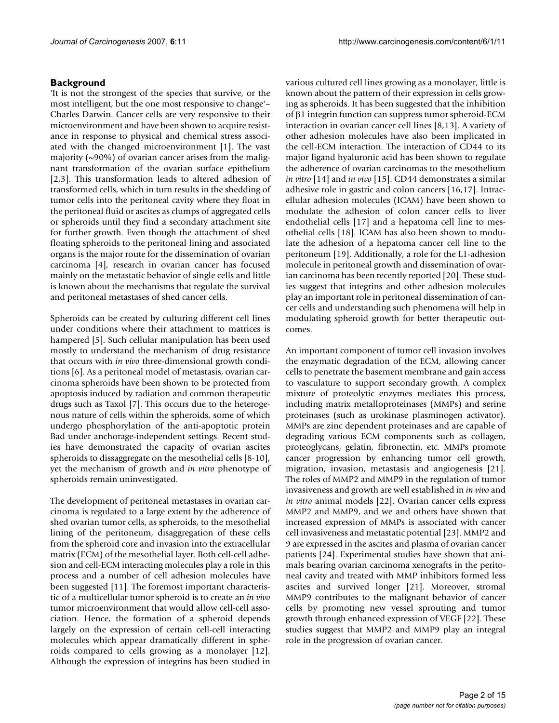#### **Background**

'It is not the strongest of the species that survive, or the most intelligent, but the one most responsive to change'– Charles Darwin. Cancer cells are very responsive to their microenvironment and have been shown to acquire resistance in response to physical and chemical stress associated with the changed microenvironment [1]. The vast majority  $(\sim 90\%)$  of ovarian cancer arises from the malignant transformation of the ovarian surface epithelium [2,3]. This transformation leads to altered adhesion of transformed cells, which in turn results in the shedding of tumor cells into the peritoneal cavity where they float in the peritoneal fluid or ascites as clumps of aggregated cells or spheroids until they find a secondary attachment site for further growth. Even though the attachment of shed floating spheroids to the peritoneal lining and associated organs is the major route for the dissemination of ovarian carcinoma [4], research in ovarian cancer has focused mainly on the metastatic behavior of single cells and little is known about the mechanisms that regulate the survival and peritoneal metastases of shed cancer cells.

Spheroids can be created by culturing different cell lines under conditions where their attachment to matrices is hampered [5]. Such cellular manipulation has been used mostly to understand the mechanism of drug resistance that occurs with *in vivo* three-dimensional growth conditions [6]. As a peritoneal model of metastasis, ovarian carcinoma spheroids have been shown to be protected from apoptosis induced by radiation and common therapeutic drugs such as Taxol [7]. This occurs due to the heterogenous nature of cells within the spheroids, some of which undergo phosphorylation of the anti-apoptotic protein Bad under anchorage-independent settings. Recent studies have demonstrated the capacity of ovarian ascites spheroids to dissaggregate on the mesothelial cells [8-10], yet the mechanism of growth and *in vitro* phenotype of spheroids remain uninvestigated.

The development of peritoneal metastases in ovarian carcinoma is regulated to a large extent by the adherence of shed ovarian tumor cells, as spheroids, to the mesothelial lining of the peritoneum, disaggregation of these cells from the spheroid core and invasion into the extracellular matrix (ECM) of the mesothelial layer. Both cell-cell adhesion and cell-ECM interacting molecules play a role in this process and a number of cell adhesion molecules have been suggested [11]. The foremost important characteristic of a multicellular tumor spheroid is to create an *in vivo* tumor microenvironment that would allow cell-cell association. Hence, the formation of a spheroid depends largely on the expression of certain cell-cell interacting molecules which appear dramatically different in spheroids compared to cells growing as a monolayer [12]. Although the expression of integrins has been studied in various cultured cell lines growing as a monolayer, little is known about the pattern of their expression in cells growing as spheroids. It has been suggested that the inhibition of β1 integrin function can suppress tumor spheroid-ECM interaction in ovarian cancer cell lines [8,13]. A variety of other adhesion molecules have also been implicated in the cell-ECM interaction. The interaction of CD44 to its major ligand hyaluronic acid has been shown to regulate the adherence of ovarian carcinomas to the mesothelium *in vitro* [14] and *in vivo* [15]. CD44 demonstrates a similar adhesive role in gastric and colon cancers [16,17]. Intracellular adhesion molecules (ICAM) have been shown to modulate the adhesion of colon cancer cells to liver endothelial cells [17] and a hepatoma cell line to mesothelial cells [18]. ICAM has also been shown to modulate the adhesion of a hepatoma cancer cell line to the peritoneum [19]. Additionally, a role for the L1-adhesion molecule in peritoneal growth and dissemination of ovarian carcinoma has been recently reported [20]. These studies suggest that integrins and other adhesion molecules play an important role in peritoneal dissemination of cancer cells and understanding such phenomena will help in modulating spheroid growth for better therapeutic outcomes.

An important component of tumor cell invasion involves the enzymatic degradation of the ECM, allowing cancer cells to penetrate the basement membrane and gain access to vasculature to support secondary growth. A complex mixture of proteolytic enzymes mediates this process, including matrix metalloproteinases (MMPs) and serine proteinases (such as urokinase plasminogen activator). MMPs are zinc dependent proteinases and are capable of degrading various ECM components such as collagen, proteoglycans, gelatin, fibronectin, etc. MMPs promote cancer progression by enhancing tumor cell growth, migration, invasion, metastasis and angiogenesis [21]. The roles of MMP2 and MMP9 in the regulation of tumor invasiveness and growth are well established in *in vivo* and *in vitro* animal models [22]. Ovarian cancer cells express MMP2 and MMP9, and we and others have shown that increased expression of MMPs is associated with cancer cell invasiveness and metastatic potential [23]. MMP2 and 9 are expressed in the ascites and plasma of ovarian cancer patients [24]. Experimental studies have shown that animals bearing ovarian carcinoma xenografts in the peritoneal cavity and treated with MMP inhibitors formed less ascites and survived longer [21]. Moreover, stromal MMP9 contributes to the malignant behavior of cancer cells by promoting new vessel sprouting and tumor growth through enhanced expression of VEGF [22]. These studies suggest that MMP2 and MMP9 play an integral role in the progression of ovarian cancer.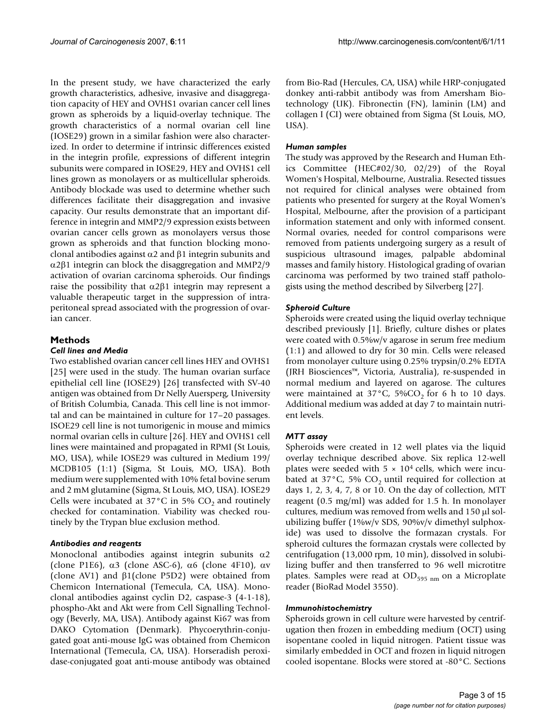In the present study, we have characterized the early growth characteristics, adhesive, invasive and disaggregation capacity of HEY and OVHS1 ovarian cancer cell lines grown as spheroids by a liquid-overlay technique. The growth characteristics of a normal ovarian cell line (IOSE29) grown in a similar fashion were also characterized. In order to determine if intrinsic differences existed in the integrin profile, expressions of different integrin subunits were compared in IOSE29, HEY and OVHS1 cell lines grown as monolayers or as multicellular spheroids. Antibody blockade was used to determine whether such differences facilitate their disaggregation and invasive capacity. Our results demonstrate that an important difference in integrin and MMP2/9 expression exists between ovarian cancer cells grown as monolayers versus those grown as spheroids and that function blocking monoclonal antibodies against  $\alpha$ 2 and  $\beta$ 1 integrin subunits and α2β1 integrin can block the disaggregation and MMP2/9 activation of ovarian carcinoma spheroids. Our findings raise the possibility that  $α2β1$  integrin may represent a valuable therapeutic target in the suppression of intraperitoneal spread associated with the progression of ovarian cancer.

### **Methods**

### *Cell lines and Media*

Two established ovarian cancer cell lines HEY and OVHS1 [25] were used in the study. The human ovarian surface epithelial cell line (IOSE29) [26] transfected with SV-40 antigen was obtained from Dr Nelly Auersperg, University of British Columbia, Canada. This cell line is not immortal and can be maintained in culture for 17–20 passages. ISOE29 cell line is not tumorigenic in mouse and mimics normal ovarian cells in culture [26]. HEY and OVHS1 cell lines were maintained and propagated in RPMI (St Louis, MO, USA), while IOSE29 was cultured in Medium 199/ MCDB105 (1:1) (Sigma, St Louis, MO, USA). Both medium were supplemented with 10% fetal bovine serum and 2 mM glutamine (Sigma, St Louis, MO, USA). IOSE29 Cells were incubated at 37 $^{\circ}$ C in 5% CO<sub>2</sub> and routinely checked for contamination. Viability was checked routinely by the Trypan blue exclusion method.

### *Antibodies and reagents*

Monoclonal antibodies against integrin subunits α2 (clone P1E6),  $\alpha$ 3 (clone ASC-6),  $\alpha$ 6 (clone 4F10),  $\alpha$ v (clone AV1) and β1(clone P5D2) were obtained from Chemicon International (Temecula, CA, USA). Monoclonal antibodies against cyclin D2, caspase-3 (4-1-18), phospho-Akt and Akt were from Cell Signalling Technology (Beverly, MA, USA). Antibody against Ki67 was from DAKO Cytomation (Denmark). Phycoerythrin-conjugated goat anti-mouse IgG was obtained from Chemicon International (Temecula, CA, USA). Horseradish peroxidase-conjugated goat anti-mouse antibody was obtained

from Bio-Rad (Hercules, CA, USA) while HRP-conjugated donkey anti-rabbit antibody was from Amersham Biotechnology (UK). Fibronectin (FN), laminin (LM) and collagen I (CI) were obtained from Sigma (St Louis, MO, USA).

#### *Human samples*

The study was approved by the Research and Human Ethics Committee (HEC#02/30, 02/29) of the Royal Women's Hospital, Melbourne, Australia. Resected tissues not required for clinical analyses were obtained from patients who presented for surgery at the Royal Women's Hospital, Melbourne, after the provision of a participant information statement and only with informed consent. Normal ovaries, needed for control comparisons were removed from patients undergoing surgery as a result of suspicious ultrasound images, palpable abdominal masses and family history. Histological grading of ovarian carcinoma was performed by two trained staff pathologists using the method described by Silverberg [27].

### *Spheroid Culture*

Spheroids were created using the liquid overlay technique described previously [1]. Briefly, culture dishes or plates were coated with 0.5%w/v agarose in serum free medium (1:1) and allowed to dry for 30 min. Cells were released from monolayer culture using 0.25% trypsin/0.2% EDTA (JRH Biosciences™, Victoria, Australia), re-suspended in normal medium and layered on agarose. The cultures were maintained at  $37^{\circ}$ C,  $5\%$ CO<sub>2</sub> for 6 h to 10 days. Additional medium was added at day 7 to maintain nutrient levels.

### *MTT assay*

Spheroids were created in 12 well plates via the liquid overlay technique described above. Six replica 12-well plates were seeded with  $5 \times 10^4$  cells, which were incubated at  $37^{\circ}$ C, 5% CO<sub>2</sub> until required for collection at days 1, 2, 3, 4, 7, 8 or 10. On the day of collection, MTT reagent (0.5 mg/ml) was added for 1.5 h. In monolayer cultures, medium was removed from wells and 150 μl solubilizing buffer (1%w/v SDS, 90%v/v dimethyl sulphoxide) was used to dissolve the formazan crystals. For spheroid cultures the formazan crystals were collected by centrifugation (13,000 rpm, 10 min), dissolved in solubilizing buffer and then transferred to 96 well microtitre plates. Samples were read at  $OD_{595 \ nm}$  on a Microplate reader (BioRad Model 3550).

### *Immunohistochemistry*

Spheroids grown in cell culture were harvested by centrifugation then frozen in embedding medium (OCT) using isopentane cooled in liquid nitrogen. Patient tissue was similarly embedded in OCT and frozen in liquid nitrogen cooled isopentane. Blocks were stored at -80°C. Sections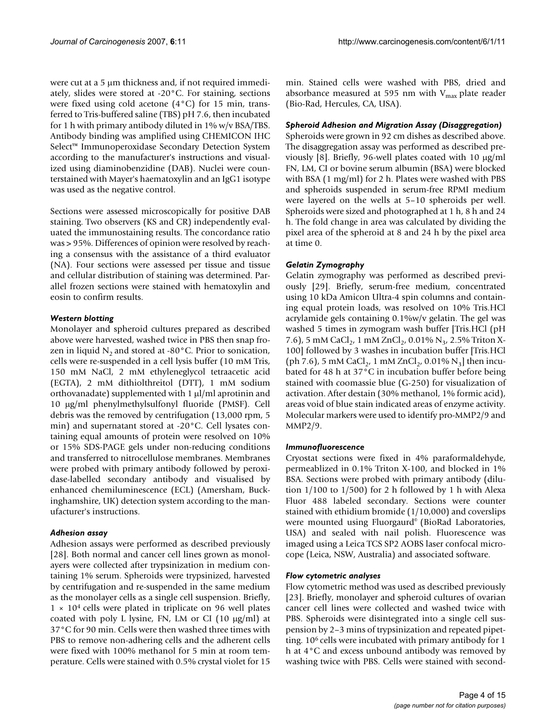were cut at a 5 μm thickness and, if not required immediately, slides were stored at -20°C. For staining, sections were fixed using cold acetone (4°C) for 15 min, transferred to Tris-buffered saline (TBS) pH 7.6, then incubated for 1 h with primary antibody diluted in 1% w/v BSA/TBS. Antibody binding was amplified using CHEMICON IHC Select™ Immunoperoxidase Secondary Detection System according to the manufacturer's instructions and visualized using diaminobenzidine (DAB). Nuclei were counterstained with Mayer's haematoxylin and an IgG1 isotype was used as the negative control.

Sections were assessed microscopically for positive DAB staining. Two observers (KS and CR) independently evaluated the immunostaining results. The concordance ratio was > 95%. Differences of opinion were resolved by reaching a consensus with the assistance of a third evaluator (NA). Four sections were assessed per tissue and tissue and cellular distribution of staining was determined. Parallel frozen sections were stained with hematoxylin and eosin to confirm results.

### *Western blotting*

Monolayer and spheroid cultures prepared as described above were harvested, washed twice in PBS then snap frozen in liquid  $N_2$  and stored at -80 $^{\circ}$ C. Prior to sonication, cells were re-suspended in a cell lysis buffer (10 mM Tris, 150 mM NaCl, 2 mM ethyleneglycol tetraacetic acid (EGTA), 2 mM dithiolthreitol (DTT), 1 mM sodium orthovanadate) supplemented with 1 μl/ml aprotinin and 10 μg/ml phenylmethylsulfonyl fluoride (PMSF). Cell debris was the removed by centrifugation (13,000 rpm, 5 min) and supernatant stored at -20°C. Cell lysates containing equal amounts of protein were resolved on 10% or 15% SDS-PAGE gels under non-reducing conditions and transferred to nitrocellulose membranes. Membranes were probed with primary antibody followed by peroxidase-labelled secondary antibody and visualised by enhanced chemiluminescence (ECL) (Amersham, Buckinghamshire, UK) detection system according to the manufacturer's instructions.

### *Adhesion assay*

Adhesion assays were performed as described previously [28]. Both normal and cancer cell lines grown as monolayers were collected after trypsinization in medium containing 1% serum. Spheroids were trypsinized, harvested by centrifugation and re-suspended in the same medium as the monolayer cells as a single cell suspension. Briefly,  $1 \times 10^4$  cells were plated in triplicate on 96 well plates coated with poly L lysine, FN, LM or CI (10 μg/ml) at 37°C for 90 min. Cells were then washed three times with PBS to remove non-adhering cells and the adherent cells were fixed with 100% methanol for 5 min at room temperature. Cells were stained with 0.5% crystal violet for 15

min. Stained cells were washed with PBS, dried and absorbance measured at 595 nm with  $V_{max}$  plate reader (Bio-Rad, Hercules, CA, USA).

### *Spheroid Adhesion and Migration Assay (Disaggregation)*

Spheroids were grown in 92 cm dishes as described above. The disaggregation assay was performed as described previously [8]. Briefly, 96-well plates coated with 10 μg/ml FN, LM, CI or bovine serum albumin (BSA) were blocked with BSA (1 mg/ml) for 2 h. Plates were washed with PBS and spheroids suspended in serum-free RPMI medium were layered on the wells at 5–10 spheroids per well. Spheroids were sized and photographed at 1 h, 8 h and 24 h. The fold change in area was calculated by dividing the pixel area of the spheroid at 8 and 24 h by the pixel area at time 0.

#### *Gelatin Zymography*

Gelatin zymography was performed as described previously [29]. Briefly, serum-free medium, concentrated using 10 kDa Amicon Ultra-4 spin columns and containing equal protein loads, was resolved on 10% Tris.HCl acrylamide gels containing 0.1%w/v gelatin. The gel was washed 5 times in zymogram wash buffer [Tris.HCl (pH 7.6), 5 mM CaCl<sub>2</sub>, 1 mM ZnCl<sub>2</sub>, 0.01% N<sub>3</sub>, 2.5% Triton X-100] followed by 3 washes in incubation buffer [Tris.HCl (ph 7.6), 5 mM CaCl<sub>2</sub>, 1 mM ZnCl<sub>2</sub>, 0.01% N<sub>3</sub> then incubated for 48 h at 37°C in incubation buffer before being stained with coomassie blue (G-250) for visualization of activation. After destain (30% methanol, 1% formic acid), areas void of blue stain indicated areas of enzyme activity. Molecular markers were used to identify pro-MMP2/9 and MMP2/9.

#### *Immunofluorescence*

Cryostat sections were fixed in 4% paraformaldehyde, permeablized in 0.1% Triton X-100, and blocked in 1% BSA. Sections were probed with primary antibody (dilution 1/100 to 1/500) for 2 h followed by 1 h with Alexa Fluor 488 labeled secondary. Sections were counter stained with ethidium bromide (1/10,000) and coverslips were mounted using Fluorgaurd<sup>®</sup> (BioRad Laboratories, USA) and sealed with nail polish. Fluorescence was imaged using a Leica TCS SP2 AOBS laser confocal microcope (Leica, NSW, Australia) and associated software.

#### *Flow cytometric analyses*

Flow cytometric method was used as described previously [23]. Briefly, monolayer and spheroid cultures of ovarian cancer cell lines were collected and washed twice with PBS. Spheroids were disintegrated into a single cell suspension by 2–3 mins of trypsinization and repeated pipetting. 106 cells were incubated with primary antibody for 1 h at 4°C and excess unbound antibody was removed by washing twice with PBS. Cells were stained with second-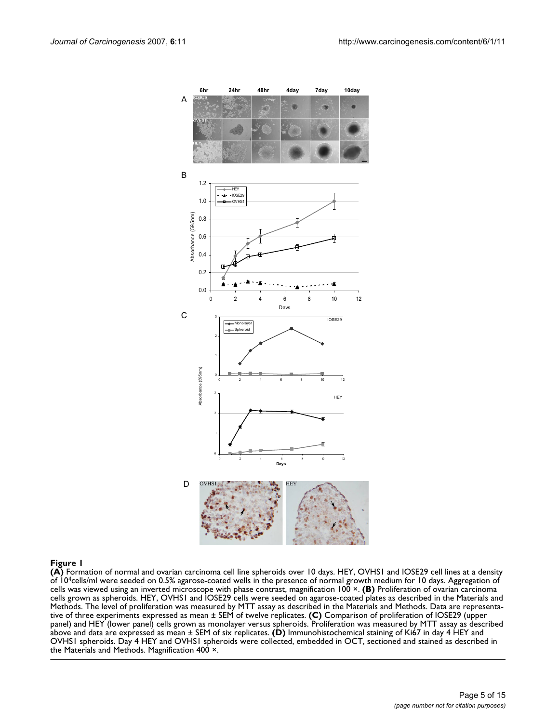

**(A)** Formation of normal and ovarian carcinoma cell line spheroids over 10 days. HEY, OVHS1 and IOSE29 cell lines at a density of 104cells/ml were seeded on 0.5% agarose-coated wells in the presence of normal growth medium for 10 days. Aggregation of cells was viewed using an inverted microscope with phase contrast, magnification 100 ×. **(B)** Proliferation of ovarian carcinoma cells grown as spheroids. HEY, OVHS1 and IOSE29 cells were seeded on agarose-coated plates as described in the Materials and Methods. The level of proliferation was measured by MTT assay as described in the Materials and Methods. Data are representative of three experiments expressed as mean ± SEM of twelve replicates. **(C)** Comparison of proliferation of IOSE29 (upper panel) and HEY (lower panel) cells grown as monolayer versus spheroids. Proliferation was measured by MTT assay as described above and data are expressed as mean ± SEM of six replicates. **(D)** Immunohistochemical staining of Ki67 in day 4 HEY and OVHS1 spheroids. Day 4 HEY and OVHS1 spheroids were collected, embedded in OCT, sectioned and stained as described in the Materials and Methods. Magnification 400 ×.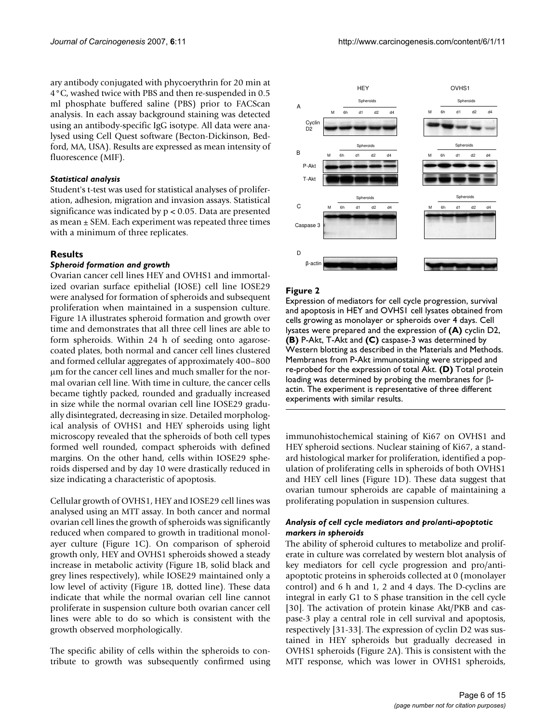ary antibody conjugated with phycoerythrin for 20 min at 4°C, washed twice with PBS and then re-suspended in 0.5 ml phosphate buffered saline (PBS) prior to FACScan analysis. In each assay background staining was detected using an antibody-specific IgG isotype. All data were analysed using Cell Quest software (Becton-Dickinson, Bedford, MA, USA). Results are expressed as mean intensity of fluorescence (MIF).

#### *Statistical analysis*

Student's t-test was used for statistical analyses of proliferation, adhesion, migration and invasion assays. Statistical significance was indicated by p < 0.05. Data are presented as mean ± SEM. Each experiment was repeated three times with a minimum of three replicates.

#### **Results**

#### *Spheroid formation and growth*

Ovarian cancer cell lines HEY and OVHS1 and immortalized ovarian surface epithelial (IOSE) cell line IOSE29 were analysed for formation of spheroids and subsequent proliferation when maintained in a suspension culture. Figure 1A illustrates spheroid formation and growth over time and demonstrates that all three cell lines are able to form spheroids. Within 24 h of seeding onto agarosecoated plates, both normal and cancer cell lines clustered and formed cellular aggregates of approximately 400–800 μm for the cancer cell lines and much smaller for the normal ovarian cell line. With time in culture, the cancer cells became tightly packed, rounded and gradually increased in size while the normal ovarian cell line IOSE29 gradually disintegrated, decreasing in size. Detailed morphological analysis of OVHS1 and HEY spheroids using light microscopy revealed that the spheroids of both cell types formed well rounded, compact spheroids with defined margins. On the other hand, cells within IOSE29 spheroids dispersed and by day 10 were drastically reduced in size indicating a characteristic of apoptosis.

Cellular growth of OVHS1, HEY and IOSE29 cell lines was analysed using an MTT assay. In both cancer and normal ovarian cell lines the growth of spheroids was significantly reduced when compared to growth in traditional monolayer culture (Figure 1C). On comparison of spheroid growth only, HEY and OVHS1 spheroids showed a steady increase in metabolic activity (Figure 1B, solid black and grey lines respectively), while IOSE29 maintained only a low level of activity (Figure 1B, dotted line). These data indicate that while the normal ovarian cell line cannot proliferate in suspension culture both ovarian cancer cell lines were able to do so which is consistent with the growth observed morphologically.

The specific ability of cells within the spheroids to contribute to growth was subsequently confirmed using



#### Figure 2

Expression of mediators for cell cycle progression, survival and apoptosis in HEY and OVHS1 cell lysates obtained from cells growing as monolayer or spheroids over 4 days. Cell lysates were prepared and the expression of **(A)** cyclin D2, **(B)** P-Akt, T-Akt and **(C)** caspase-3 was determined by Western blotting as described in the Materials and Methods. Membranes from P-Akt immunostaining were stripped and re-probed for the expression of total Akt. **(D)** Total protein loading was determined by probing the membranes for βactin. The experiment is representative of three different experiments with similar results.

immunohistochemical staining of Ki67 on OVHS1 and HEY spheroid sections. Nuclear staining of Ki67, a standard histological marker for proliferation, identified a population of proliferating cells in spheroids of both OVHS1 and HEY cell lines (Figure 1D). These data suggest that ovarian tumour spheroids are capable of maintaining a proliferating population in suspension cultures.

#### *Analysis of cell cycle mediators and pro/anti-apoptotic markers in spheroids*

The ability of spheroid cultures to metabolize and proliferate in culture was correlated by western blot analysis of key mediators for cell cycle progression and pro/antiapoptotic proteins in spheroids collected at 0 (monolayer control) and 6 h and 1, 2 and 4 days. The D-cyclins are integral in early G1 to S phase transition in the cell cycle [30]. The activation of protein kinase Akt/PKB and caspase-3 play a central role in cell survival and apoptosis, respectively [31-33]. The expression of cyclin D2 was sustained in HEY spheroids but gradually decreased in OVHS1 spheroids (Figure 2A). This is consistent with the MTT response, which was lower in OVHS1 spheroids,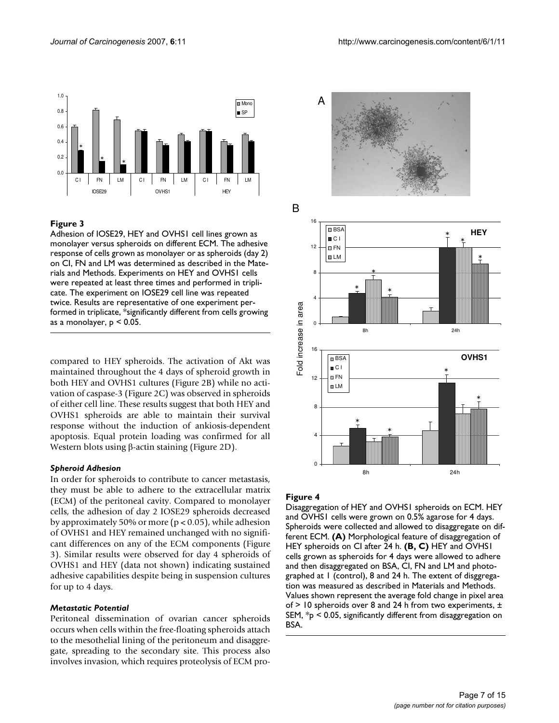

#### Figure 3

Adhesion of IOSE29, HEY and OVHS1 cell lines grown as monolayer versus spheroids on different ECM. The adhesive response of cells grown as monolayer or as spheroids (day 2) on CI, FN and LM was determined as described in the Materials and Methods. Experiments on HEY and OVHS1 cells were repeated at least three times and performed in triplicate. The experiment on IOSE29 cell line was repeated twice. Results are representative of one experiment performed in triplicate, \*significantly different from cells growing as a monolayer, p < 0.05.

compared to HEY spheroids. The activation of Akt was maintained throughout the 4 days of spheroid growth in both HEY and OVHS1 cultures (Figure 2B) while no activation of caspase-3 (Figure 2C) was observed in spheroids of either cell line. These results suggest that both HEY and OVHS1 spheroids are able to maintain their survival response without the induction of ankiosis-dependent apoptosis. Equal protein loading was confirmed for all Western blots using β-actin staining (Figure 2D).

#### *Spheroid Adhesion*

In order for spheroids to contribute to cancer metastasis, they must be able to adhere to the extracellular matrix (ECM) of the peritoneal cavity. Compared to monolayer cells, the adhesion of day 2 IOSE29 spheroids decreased by approximately 50% or more ( $p < 0.05$ ), while adhesion of OVHS1 and HEY remained unchanged with no significant differences on any of the ECM components (Figure 3). Similar results were observed for day 4 spheroids of OVHS1 and HEY (data not shown) indicating sustained adhesive capabilities despite being in suspension cultures for up to 4 days.

#### *Metastatic Potential*

Peritoneal dissemination of ovarian cancer spheroids occurs when cells within the free-floating spheroids attach to the mesothelial lining of the peritoneum and disaggregate, spreading to the secondary site. This process also involves invasion, which requires proteolysis of ECM pro-



#### **Figure 4**

Disaggregation of HEY and OVHS1 spheroids on ECM. HEY and OVHS1 cells were grown on 0.5% agarose for 4 days. Spheroids were collected and allowed to disaggregate on different ECM. **(A)** Morphological feature of disaggregation of HEY spheroids on CI after 24 h. **(B, C)** HEY and OVHS1 cells grown as spheroids for 4 days were allowed to adhere and then disaggregated on BSA, CI, FN and LM and photographed at 1 (control), 8 and 24 h. The extent of disggregation was measured as described in Materials and Methods. Values shown represent the average fold change in pixel area of > 10 spheroids over 8 and 24 h from two experiments, ± SEM, \*p < 0.05, significantly different from disaggregation on BSA.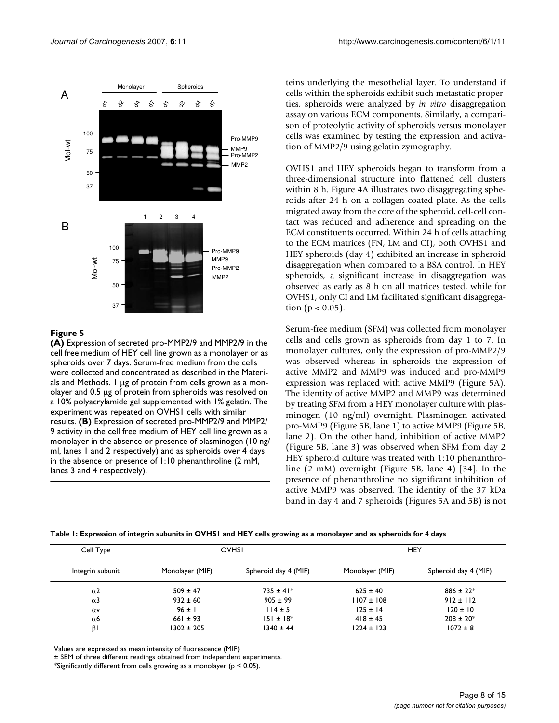

#### **Figure 5**

**(A)** Expression of secreted pro-MMP2/9 and MMP2/9 in the cell free medium of HEY cell line grown as a monolayer or as spheroids over 7 days. Serum-free medium from the cells were collected and concentrated as described in the Materials and Methods. 1 μg of protein from cells grown as a monolayer and 0.5 μg of protein from spheroids was resolved on a 10% polyacrylamide gel supplemented with 1% gelatin. The experiment was repeated on OVHS1 cells with similar results. **(B)** Expression of secreted pro-MMP2/9 and MMP2/ 9 activity in the cell free medium of HEY cell line grown as a monolayer in the absence or presence of plasminogen (10 ng/ ml, lanes 1 and 2 respectively) and as spheroids over 4 days in the absence or presence of 1:10 phenanthroline (2 mM, lanes 3 and 4 respectively).

teins underlying the mesothelial layer. To understand if cells within the spheroids exhibit such metastatic properties, spheroids were analyzed by *in vitro* disaggregation assay on various ECM components. Similarly, a comparison of proteolytic activity of spheroids versus monolayer cells was examined by testing the expression and activation of MMP2/9 using gelatin zymography.

OVHS1 and HEY spheroids began to transform from a three-dimensional structure into flattened cell clusters within 8 h. Figure 4A illustrates two disaggregating spheroids after 24 h on a collagen coated plate. As the cells migrated away from the core of the spheroid, cell-cell contact was reduced and adherence and spreading on the ECM constituents occurred. Within 24 h of cells attaching to the ECM matrices (FN, LM and CI), both OVHS1 and HEY spheroids (day 4) exhibited an increase in spheroid disaggregation when compared to a BSA control. In HEY spheroids, a significant increase in disaggregation was observed as early as 8 h on all matrices tested, while for OVHS1, only CI and LM facilitated significant disaggregation ( $p < 0.05$ ).

Serum-free medium (SFM) was collected from monolayer cells and cells grown as spheroids from day 1 to 7. In monolayer cultures, only the expression of pro-MMP2/9 was observed whereas in spheroids the expression of active MMP2 and MMP9 was induced and pro-MMP9 expression was replaced with active MMP9 (Figure 5A). The identity of active MMP2 and MMP9 was determined by treating SFM from a HEY monolayer culture with plasminogen (10 ng/ml) overnight. Plasminogen activated pro-MMP9 (Figure 5B, lane 1) to active MMP9 (Figure 5B, lane 2). On the other hand, inhibition of active MMP2 (Figure 5B, lane 3) was observed when SFM from day 2 HEY spheroid culture was treated with 1:10 phenanthroline (2 mM) overnight (Figure 5B, lane 4) [34]. In the presence of phenanthroline no significant inhibition of active MMP9 was observed. The identity of the 37 kDa band in day 4 and 7 spheroids (Figures 5A and 5B) is not

|  | Table 1: Expression of integrin subunits in OVHS1 and HEY cells growing as a monolayer and as spheroids for 4 days |
|--|--------------------------------------------------------------------------------------------------------------------|
|--|--------------------------------------------------------------------------------------------------------------------|

| Cell Type             | OVHSI           |                      | HEY             |                      |
|-----------------------|-----------------|----------------------|-----------------|----------------------|
| Integrin subunit      | Monolayer (MIF) | Spheroid day 4 (MIF) | Monolayer (MIF) | Spheroid day 4 (MIF) |
| $\alpha$ <sup>2</sup> | $509 \pm 47$    | $735 \pm 41*$        | $625 \pm 40$    | $886 \pm 22$ *       |
| $\alpha$ 3            | $932 \pm 60$    | $905 \pm 99$         | $1107 \pm 108$  | $912 \pm 112$        |
| $\alpha$ v            | $96 \pm 1$      | $114 \pm 5$          | $125 \pm 14$    | $120 \pm 10$         |
| $\alpha$ 6            | $661 \pm 93$    | $151 \pm 18$ *       | $418 \pm 45$    | $208 \pm 20$ *       |
| βI                    | $1302 \pm 205$  | $1340 \pm 44$        | $1224 \pm 123$  | $1072 \pm 8$         |

Values are expressed as mean intensity of fluorescence (MIF)

± SEM of three different readings obtained from independent experiments.

\*Significantly different from cells growing as a monolayer (p < 0.05).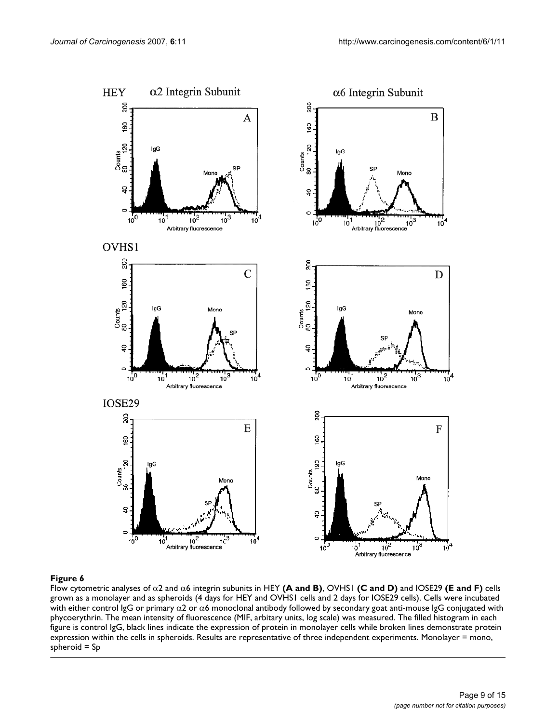

Flow cytometric analyses of α2 and α6 integrin subunits in HEY **(A and B)**, OVHS1 **(C and D)** and IOSE29 **(E and F)** cells grown as a monolayer and as spheroids (4 days for HEY and OVHS1 cells and 2 days for IOSE29 cells). Cells were incubated with either control IgG or primary  $\alpha$ 2 or  $\alpha$ 6 monoclonal antibody followed by secondary goat anti-mouse IgG conjugated with phycoerythrin. The mean intensity of fluorescence (MIF, arbitary units, log scale) was measured. The filled histogram in each figure is control IgG, black lines indicate the expression of protein in monolayer cells while broken lines demonstrate protein expression within the cells in spheroids. Results are representative of three independent experiments. Monolayer = mono, spheroid = Sp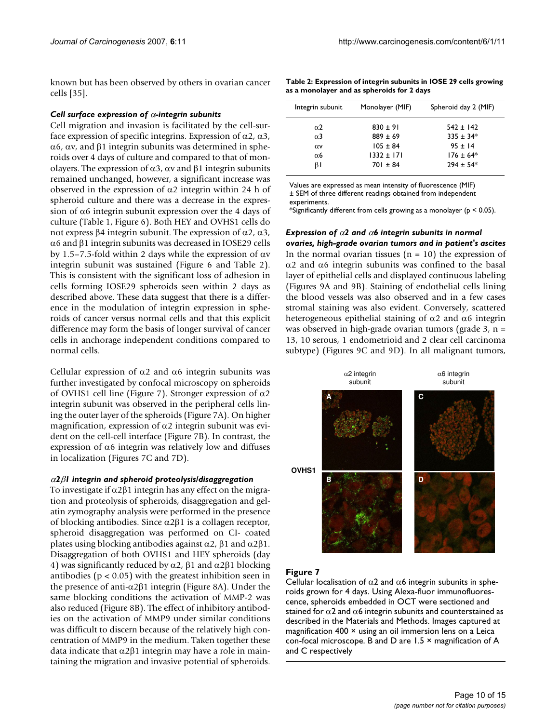known but has been observed by others in ovarian cancer cells [35].

#### *Cell surface expression of* α*-integrin subunits*

Cell migration and invasion is facilitated by the cell-surface expression of specific integrins. Expression of α2, α3, α6, αv, and β1 integrin subunits was determined in spheroids over 4 days of culture and compared to that of monolayers. The expression of α3, αv and β1 integrin subunits remained unchanged, however, a significant increase was observed in the expression of  $α2$  integrin within 24 h of spheroid culture and there was a decrease in the expression of  $\alpha$ 6 integrin subunit expression over the 4 days of culture (Table 1, Figure 6). Both HEY and OVHS1 cells do not express β4 integrin subunit. The expression of α2, α3, α6 and β1 integrin subunits was decreased in IOSE29 cells by 1.5–7.5-fold within 2 days while the expression of αv integrin subunit was sustained (Figure 6 and Table 2). This is consistent with the significant loss of adhesion in cells forming IOSE29 spheroids seen within 2 days as described above. These data suggest that there is a difference in the modulation of integrin expression in spheroids of cancer versus normal cells and that this explicit difference may form the basis of longer survival of cancer cells in anchorage independent conditions compared to normal cells.

Cellular expression of α2 and α6 integrin subunits was further investigated by confocal microscopy on spheroids of OVHS1 cell line (Figure 7). Stronger expression of  $\alpha$ 2 integrin subunit was observed in the peripheral cells lining the outer layer of the spheroids (Figure 7A). On higher magnification, expression of  $\alpha$ 2 integrin subunit was evident on the cell-cell interface (Figure 7B). In contrast, the expression of  $\alpha$ 6 integrin was relatively low and diffuses in localization (Figures 7C and 7D).

#### <sup>α</sup>*2*β*1 integrin and spheroid proteolysis/disaggregation*

To investigate if  $\alpha$ 2 $\beta$ 1 integrin has any effect on the migration and proteolysis of spheroids, disaggregation and gelatin zymography analysis were performed in the presence of blocking antibodies. Since α2β1 is a collagen receptor, spheroid disaggregation was performed on CI- coated plates using blocking antibodies against α2, β1 and α2β1. Disaggregation of both OVHS1 and HEY spheroids (day 4) was significantly reduced by  $\alpha$ 2,  $\beta$ 1 and  $\alpha$ 2 $\beta$ 1 blocking antibodies ( $p < 0.05$ ) with the greatest inhibition seen in the presence of anti- $α2β1$  integrin (Figure 8A). Under the same blocking conditions the activation of MMP-2 was also reduced (Figure 8B). The effect of inhibitory antibodies on the activation of MMP9 under similar conditions was difficult to discern because of the relatively high concentration of MMP9 in the medium. Taken together these data indicate that α2β1 integrin may have a role in maintaining the migration and invasive potential of spheroids.

| Table 2: Expression of integrin subunits in IOSE 29 cells growing |
|-------------------------------------------------------------------|
| as a monolayer and as spheroids for 2 days                        |

| Integrin subunit      | Monolayer (MIF) | Spheroid day 2 (MIF) |
|-----------------------|-----------------|----------------------|
| $\alpha$ <sub>2</sub> | $830 \pm 91$    | $542 \pm 142$        |
| $\alpha$ <sub>3</sub> | $889 \pm 69$    | $335 \pm 34*$        |
| $\alpha$ v            | $105 \pm 84$    | $95 \pm 14$          |
| $\alpha$ 6            | $1332 \pm 171$  | $176 \pm 64*$        |
| βI                    | $701 \pm 84$    | $294 \pm 54*$        |

Values are expressed as mean intensity of fluorescence (MIF) ± SEM of three different readings obtained from independent experiments.

\*Significantly different from cells growing as a monolayer ( $p < 0.05$ ).

## *Expression of* α*2 and* α*6 integrin subunits in normal*

*ovaries, high-grade ovarian tumors and in patient's ascites* In the normal ovarian tissues  $(n = 10)$  the expression of α2 and α6 integrin subunits was confined to the basal layer of epithelial cells and displayed continuous labeling (Figures 9A and 9B). Staining of endothelial cells lining the blood vessels was also observed and in a few cases stromal staining was also evident. Conversely, scattered heterogeneous epithelial staining of  $\alpha$ 2 and  $\alpha$ 6 integrin was observed in high-grade ovarian tumors (grade  $3$ , n = 13, 10 serous, 1 endometrioid and 2 clear cell carcinoma subtype) (Figures 9C and 9D). In all malignant tumors,



### **Figure 7**

Cellular localisation of  $\alpha$ 2 and  $\alpha$ 6 integrin subunits in spheroids grown for 4 days. Using Alexa-fluor immunofluorescence, spheroids embedded in OCT were sectioned and stained for  $\alpha$ 2 and  $\alpha$ 6 integrin subunits and counterstained as described in the Materials and Methods. Images captured at magnification 400 × using an oil immersion lens on a Leica con-focal microscope. B and D are 1.5 × magnification of A and C respectively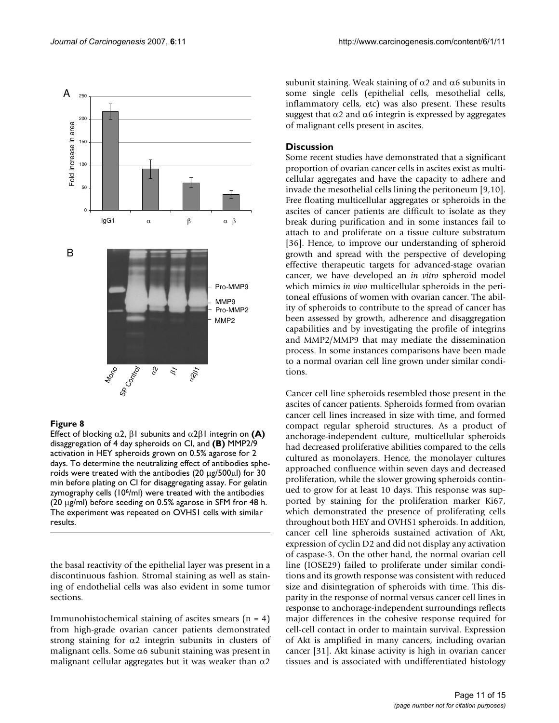

#### Eigure 8

Effect of blocking α2, β1 subunits and α2β1 integrin on **(A)**  disaggregation of 4 day spheroids on CI, and **(B)** MMP2/9 activation in HEY spheroids grown on 0.5% agarose for 2 days. To determine the neutralizing effect of antibodies spheroids were treated with the antibodies (20 μg/500μl) for 30 min before plating on CI for disaggregating assay. For gelatin zymography cells (10<sup>6</sup>/ml) were treated with the antibodies (20 μg/ml) before seeding on 0.5% agarose in SFM fror 48 h. The experiment was repeated on OVHS1 cells with similar results.

the basal reactivity of the epithelial layer was present in a discontinuous fashion. Stromal staining as well as staining of endothelial cells was also evident in some tumor sections.

Immunohistochemical staining of ascites smears  $(n = 4)$ from high-grade ovarian cancer patients demonstrated strong staining for  $\alpha$ 2 integrin subunits in clusters of malignant cells. Some  $\alpha$ 6 subunit staining was present in malignant cellular aggregates but it was weaker than  $\alpha$ 2

subunit staining. Weak staining of  $\alpha$ 2 and  $\alpha$ 6 subunits in some single cells (epithelial cells, mesothelial cells, inflammatory cells, etc) was also present. These results suggest that  $\alpha$ 2 and  $\alpha$ 6 integrin is expressed by aggregates of malignant cells present in ascites.

#### **Discussion**

Some recent studies have demonstrated that a significant proportion of ovarian cancer cells in ascites exist as multicellular aggregates and have the capacity to adhere and invade the mesothelial cells lining the peritoneum [9,10]. Free floating multicellular aggregates or spheroids in the ascites of cancer patients are difficult to isolate as they break during purification and in some instances fail to attach to and proliferate on a tissue culture substratum [36]. Hence, to improve our understanding of spheroid growth and spread with the perspective of developing effective therapeutic targets for advanced-stage ovarian cancer, we have developed an *in vitro* spheroid model which mimics *in vivo* multicellular spheroids in the peritoneal effusions of women with ovarian cancer. The ability of spheroids to contribute to the spread of cancer has been assessed by growth, adherence and disaggregation capabilities and by investigating the profile of integrins and MMP2/MMP9 that may mediate the dissemination process. In some instances comparisons have been made to a normal ovarian cell line grown under similar conditions.

Cancer cell line spheroids resembled those present in the ascites of cancer patients. Spheroids formed from ovarian cancer cell lines increased in size with time, and formed compact regular spheroid structures. As a product of anchorage-independent culture, multicellular spheroids had decreased proliferative abilities compared to the cells cultured as monolayers. Hence, the monolayer cultures approached confluence within seven days and decreased proliferation, while the slower growing spheroids continued to grow for at least 10 days. This response was supported by staining for the proliferation marker Ki67, which demonstrated the presence of proliferating cells throughout both HEY and OVHS1 spheroids. In addition, cancer cell line spheroids sustained activation of Akt, expression of cyclin D2 and did not display any activation of caspase-3. On the other hand, the normal ovarian cell line (IOSE29) failed to proliferate under similar conditions and its growth response was consistent with reduced size and disintegration of spheroids with time. This disparity in the response of normal versus cancer cell lines in response to anchorage-independent surroundings reflects major differences in the cohesive response required for cell-cell contact in order to maintain survival. Expression of Akt is amplified in many cancers, including ovarian cancer [31]. Akt kinase activity is high in ovarian cancer tissues and is associated with undifferentiated histology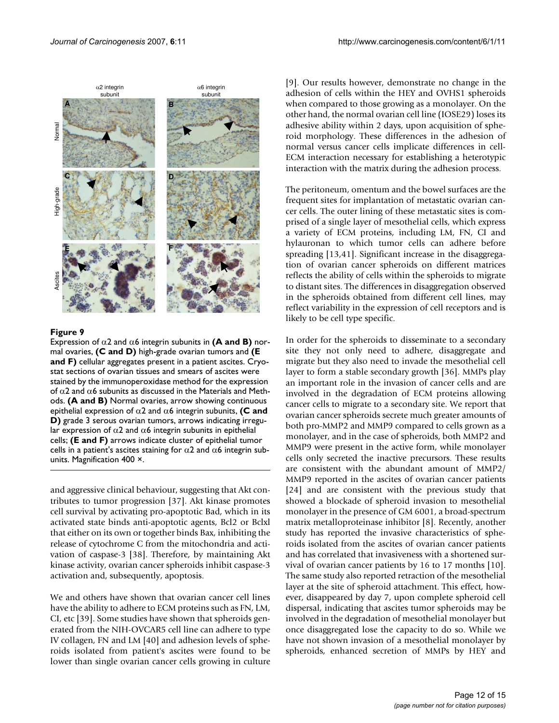

#### Figure 9

Expression of  $\alpha$ 2 and  $\alpha$ 6 integrin subunits in **(A and B)** normal ovaries, **(C and D)** high-grade ovarian tumors and **(E and F)** cellular aggregates present in a patient ascites. Cryostat sections of ovarian tissues and smears of ascites were stained by the immunoperoxidase method for the expression of  $α2$  and  $α6$  subunits as discussed in the Materials and Methods. **(A and B)** Normal ovaries, arrow showing continuous epithelial expression of α2 and α6 integrin subunits, **(C and D)** grade 3 serous ovarian tumors, arrows indicating irregular expression of  $\alpha$ 2 and  $\alpha$ 6 integrin subunits in epithelial cells; **(E and F)** arrows indicate cluster of epithelial tumor cells in a patient's ascites staining for  $\alpha$ 2 and  $\alpha$ 6 integrin subunits. Magnification 400 ×.

and aggressive clinical behaviour, suggesting that Akt contributes to tumor progression [37]. Akt kinase promotes cell survival by activating pro-apoptotic Bad, which in its activated state binds anti-apoptotic agents, Bcl2 or Bclxl that either on its own or together binds Bax, inhibiting the release of cytochrome C from the mitochondria and activation of caspase-3 [38]. Therefore, by maintaining Akt kinase activity, ovarian cancer spheroids inhibit caspase-3 activation and, subsequently, apoptosis.

We and others have shown that ovarian cancer cell lines have the ability to adhere to ECM proteins such as FN, LM, CI, etc [39]. Some studies have shown that spheroids generated from the NIH-OVCAR5 cell line can adhere to type IV collagen, FN and LM [40] and adhesion levels of spheroids isolated from patient's ascites were found to be lower than single ovarian cancer cells growing in culture

[9]. Our results however, demonstrate no change in the adhesion of cells within the HEY and OVHS1 spheroids when compared to those growing as a monolayer. On the other hand, the normal ovarian cell line (IOSE29) loses its adhesive ability within 2 days, upon acquisition of spheroid morphology. These differences in the adhesion of normal versus cancer cells implicate differences in cell-ECM interaction necessary for establishing a heterotypic interaction with the matrix during the adhesion process.

The peritoneum, omentum and the bowel surfaces are the frequent sites for implantation of metastatic ovarian cancer cells. The outer lining of these metastatic sites is comprised of a single layer of mesothelial cells, which express a variety of ECM proteins, including LM, FN, CI and hylauronan to which tumor cells can adhere before spreading [13,41]. Significant increase in the disaggregation of ovarian cancer spheroids on different matrices reflects the ability of cells within the spheroids to migrate to distant sites. The differences in disaggregation observed in the spheroids obtained from different cell lines, may reflect variability in the expression of cell receptors and is likely to be cell type specific.

In order for the spheroids to disseminate to a secondary site they not only need to adhere, disaggregate and migrate but they also need to invade the mesothelial cell layer to form a stable secondary growth [36]. MMPs play an important role in the invasion of cancer cells and are involved in the degradation of ECM proteins allowing cancer cells to migrate to a secondary site. We report that ovarian cancer spheroids secrete much greater amounts of both pro-MMP2 and MMP9 compared to cells grown as a monolayer, and in the case of spheroids, both MMP2 and MMP9 were present in the active form, while monolayer cells only secreted the inactive precursors. These results are consistent with the abundant amount of MMP2/ MMP9 reported in the ascites of ovarian cancer patients [24] and are consistent with the previous study that showed a blockade of spheroid invasion to mesothelial monolayer in the presence of GM 6001, a broad-spectrum matrix metalloproteinase inhibitor [8]. Recently, another study has reported the invasive characteristics of spheroids isolated from the ascites of ovarian cancer patients and has correlated that invasiveness with a shortened survival of ovarian cancer patients by 16 to 17 months [10]. The same study also reported retraction of the mesothelial layer at the site of spheroid attachment. This effect, however, disappeared by day 7, upon complete spheroid cell dispersal, indicating that ascites tumor spheroids may be involved in the degradation of mesothelial monolayer but once disaggregated lose the capacity to do so. While we have not shown invasion of a mesothelial monolayer by spheroids, enhanced secretion of MMPs by HEY and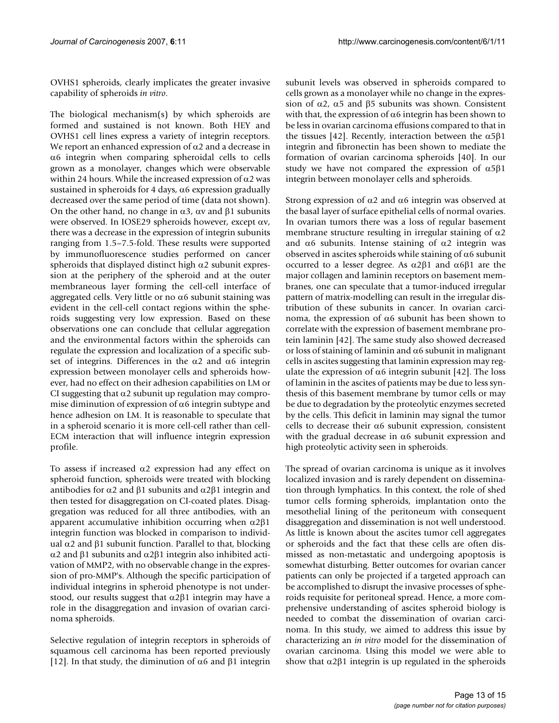OVHS1 spheroids, clearly implicates the greater invasive capability of spheroids *in vitro*.

The biological mechanism(s) by which spheroids are formed and sustained is not known. Both HEY and OVHS1 cell lines express a variety of integrin receptors. We report an enhanced expression of  $\alpha$ 2 and a decrease in α6 integrin when comparing spheroidal cells to cells grown as a monolayer, changes which were observable within 24 hours. While the increased expression of  $\alpha$ 2 was sustained in spheroids for 4 days,  $\alpha$ 6 expression gradually decreased over the same period of time (data not shown). On the other hand, no change in  $\alpha$ 3,  $\alpha$  and  $\beta$ 1 subunits were observed. In IOSE29 spheroids however, except αv, there was a decrease in the expression of integrin subunits ranging from 1.5–7.5-fold. These results were supported by immunofluorescence studies performed on cancer spheroids that displayed distinct high  $\alpha$ 2 subunit expression at the periphery of the spheroid and at the outer membraneous layer forming the cell-cell interface of aggregated cells. Very little or no  $\alpha$ 6 subunit staining was evident in the cell-cell contact regions within the spheroids suggesting very low expression. Based on these observations one can conclude that cellular aggregation and the environmental factors within the spheroids can regulate the expression and localization of a specific subset of integrins. Differences in the  $\alpha$ 2 and  $\alpha$ 6 integrin expression between monolayer cells and spheroids however, had no effect on their adhesion capabilities on LM or CI suggesting that  $\alpha$ 2 subunit up regulation may compromise diminution of expression of  $\alpha$ 6 integrin subtype and hence adhesion on LM. It is reasonable to speculate that in a spheroid scenario it is more cell-cell rather than cell-ECM interaction that will influence integrin expression profile.

To assess if increased  $\alpha$ 2 expression had any effect on spheroid function, spheroids were treated with blocking antibodies for α2 and β1 subunits and  $α2β1$  integrin and then tested for disaggregation on CI-coated plates. Disaggregation was reduced for all three antibodies, with an apparent accumulative inhibition occurring when α2β1 integrin function was blocked in comparison to individual α2 and β1 subunit function. Parallel to that, blocking α2 and β1 subunits and α2β1 integrin also inhibited activation of MMP2, with no observable change in the expression of pro-MMP's. Although the specific participation of individual integrins in spheroid phenotype is not understood, our results suggest that  $\alpha$ 2 $\beta$ 1 integrin may have a role in the disaggregation and invasion of ovarian carcinoma spheroids.

Selective regulation of integrin receptors in spheroids of squamous cell carcinoma has been reported previously [12]. In that study, the diminution of α6 and β1 integrin

subunit levels was observed in spheroids compared to cells grown as a monolayer while no change in the expression of  $α2$ ,  $α5$  and  $β5$  subunits was shown. Consistent with that, the expression of  $\alpha$ 6 integrin has been shown to be less in ovarian carcinoma effusions compared to that in the tissues [42]. Recently, interaction between the  $α5β1$ integrin and fibronectin has been shown to mediate the formation of ovarian carcinoma spheroids [40]. In our study we have not compared the expression of  $\alpha$ 5β1 integrin between monolayer cells and spheroids.

Strong expression of  $\alpha$ 2 and  $\alpha$ 6 integrin was observed at the basal layer of surface epithelial cells of normal ovaries. In ovarian tumors there was a loss of regular basement membrane structure resulting in irregular staining of  $\alpha$ 2 and  $\alpha$ 6 subunits. Intense staining of  $\alpha$ 2 integrin was observed in ascites spheroids while staining of  $\alpha$ 6 subunit occurred to a lesser degree. As α2β1 and α6β1 are the major collagen and laminin receptors on basement membranes, one can speculate that a tumor-induced irregular pattern of matrix-modelling can result in the irregular distribution of these subunits in cancer. In ovarian carcinoma, the expression of  $α6$  subunit has been shown to correlate with the expression of basement membrane protein laminin [42]. The same study also showed decreased or loss of staining of laminin and  $\alpha$ 6 subunit in malignant cells in ascites suggesting that laminin expression may regulate the expression of  $α6$  integrin subunit [42]. The loss of laminin in the ascites of patients may be due to less synthesis of this basement membrane by tumor cells or may be due to degradation by the proteolytic enzymes secreted by the cells. This deficit in laminin may signal the tumor cells to decrease their  $\alpha$ 6 subunit expression, consistent with the gradual decrease in  $\alpha$ 6 subunit expression and high proteolytic activity seen in spheroids.

The spread of ovarian carcinoma is unique as it involves localized invasion and is rarely dependent on dissemination through lymphatics. In this context, the role of shed tumor cells forming spheroids, implantation onto the mesothelial lining of the peritoneum with consequent disaggregation and dissemination is not well understood. As little is known about the ascites tumor cell aggregates or spheroids and the fact that these cells are often dismissed as non-metastatic and undergoing apoptosis is somewhat disturbing. Better outcomes for ovarian cancer patients can only be projected if a targeted approach can be accomplished to disrupt the invasive processes of spheroids requisite for peritoneal spread. Hence, a more comprehensive understanding of ascites spheroid biology is needed to combat the dissemination of ovarian carcinoma. In this study, we aimed to address this issue by characterizing an *in vitro* model for the dissemination of ovarian carcinoma. Using this model we were able to show that  $\alpha$ 2β1 integrin is up regulated in the spheroids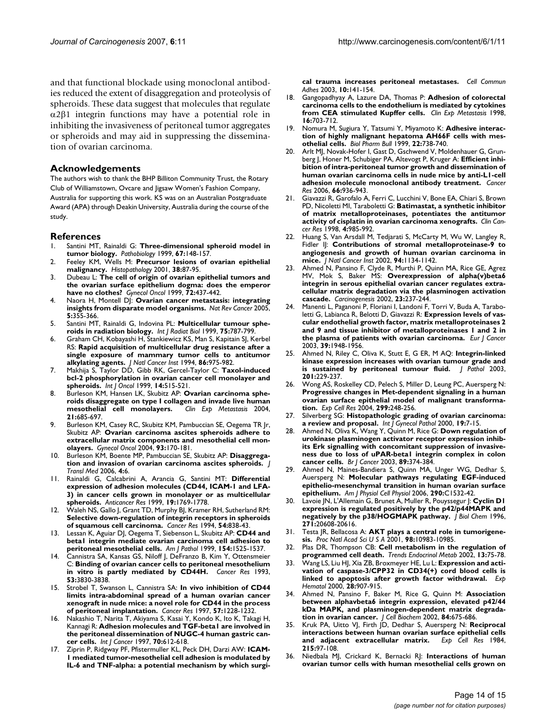and that functional blockade using monoclonal antibodies reduced the extent of disaggregation and proteolysis of spheroids. These data suggest that molecules that regulate α2β1 integrin functions may have a potential role in inhibiting the invasiveness of peritoneal tumor aggregates or spheroids and may aid in suppressing the dissemination of ovarian carcinoma.

#### **Acknowledgements**

The authors wish to thank the BHP Billiton Community Trust, the Rotary Club of Williamstown, Ovcare and Jigsaw Women's Fashion Company, Australia for supporting this work. KS was on an Australian Postgraduate Award (APA) through Deakin University, Australia during the course of the study.

#### **References**

- 1. Santini MT, Rainaldi G: **[Three-dimensional spheroid model in](http://www.ncbi.nlm.nih.gov/entrez/query.fcgi?cmd=Retrieve&db=PubMed&dopt=Abstract&list_uids=10394136) [tumor biology.](http://www.ncbi.nlm.nih.gov/entrez/query.fcgi?cmd=Retrieve&db=PubMed&dopt=Abstract&list_uids=10394136)** *Pathobiology* 1999, **67:**148-157.
- 2. Feeley KM, Wells M: **[Precursor lesions of ovarian epithelial](http://www.ncbi.nlm.nih.gov/entrez/query.fcgi?cmd=Retrieve&db=PubMed&dopt=Abstract&list_uids=11207821) [malignancy.](http://www.ncbi.nlm.nih.gov/entrez/query.fcgi?cmd=Retrieve&db=PubMed&dopt=Abstract&list_uids=11207821)** *Histopathology* 2001, **38:**87-95.
- 3. Dubeau L: **[The cell of origin of ovarian epithelial tumors and](http://www.ncbi.nlm.nih.gov/entrez/query.fcgi?cmd=Retrieve&db=PubMed&dopt=Abstract&list_uids=10053122) [the ovarian surface epithelium dogma: does the emperor](http://www.ncbi.nlm.nih.gov/entrez/query.fcgi?cmd=Retrieve&db=PubMed&dopt=Abstract&list_uids=10053122) [have no clothes?](http://www.ncbi.nlm.nih.gov/entrez/query.fcgi?cmd=Retrieve&db=PubMed&dopt=Abstract&list_uids=10053122)** *Gynecol Oncol* 1999, **72:**437-442.
- Naora H, Montell DJ: **[Ovarian cancer metastasis: integrating](http://www.ncbi.nlm.nih.gov/entrez/query.fcgi?cmd=Retrieve&db=PubMed&dopt=Abstract&list_uids=15864277) [insights from disparate model organisms.](http://www.ncbi.nlm.nih.gov/entrez/query.fcgi?cmd=Retrieve&db=PubMed&dopt=Abstract&list_uids=15864277)** *Nat Rev Cancer* 2005, **5:**355-366.
- 5. Santini MT, Rainaldi G, Indovina PL: **[Multicellular tumour sphe](http://www.ncbi.nlm.nih.gov/entrez/query.fcgi?cmd=Retrieve&db=PubMed&dopt=Abstract&list_uids=10489890)[roids in radiation biology.](http://www.ncbi.nlm.nih.gov/entrez/query.fcgi?cmd=Retrieve&db=PubMed&dopt=Abstract&list_uids=10489890)** *Int J Radiat Biol* 1999, **75:**787-799.
- 6. Graham CH, Kobayashi H, Stankiewicz KS, Man S, Kapitain SJ, Kerbel RS: **[Rapid acquisition of multicellular drug resistance after a](http://www.ncbi.nlm.nih.gov/entrez/query.fcgi?cmd=Retrieve&db=PubMed&dopt=Abstract&list_uids=8007019) [single exposure of mammary tumor cells to antitumor](http://www.ncbi.nlm.nih.gov/entrez/query.fcgi?cmd=Retrieve&db=PubMed&dopt=Abstract&list_uids=8007019) [alkylating agents.](http://www.ncbi.nlm.nih.gov/entrez/query.fcgi?cmd=Retrieve&db=PubMed&dopt=Abstract&list_uids=8007019)** *J Natl Cancer Inst* 1994, **86:**975-982.
- 7. Makhija S, Taylor DD, Gibb RK, Gercel-Taylor C: **[Taxol-induced](http://www.ncbi.nlm.nih.gov/entrez/query.fcgi?cmd=Retrieve&db=PubMed&dopt=Abstract&list_uids=10024685) [bcl-2 phosphorylation in ovarian cancer cell monolayer and](http://www.ncbi.nlm.nih.gov/entrez/query.fcgi?cmd=Retrieve&db=PubMed&dopt=Abstract&list_uids=10024685) [spheroids.](http://www.ncbi.nlm.nih.gov/entrez/query.fcgi?cmd=Retrieve&db=PubMed&dopt=Abstract&list_uids=10024685)** *Int J Oncol* 1999, **14:**515-521.
- 8. Burleson KM, Hansen LK, Skubitz AP: **[Ovarian carcinoma sphe](http://www.ncbi.nlm.nih.gov/entrez/query.fcgi?cmd=Retrieve&db=PubMed&dopt=Abstract&list_uids=16035613)[roids disaggregate on type I collagen and invade live human](http://www.ncbi.nlm.nih.gov/entrez/query.fcgi?cmd=Retrieve&db=PubMed&dopt=Abstract&list_uids=16035613) [mesothelial cell monolayers.](http://www.ncbi.nlm.nih.gov/entrez/query.fcgi?cmd=Retrieve&db=PubMed&dopt=Abstract&list_uids=16035613)** *Clin Exp Metastasis* 2004, **21:**685-697.
- 9. Burleson KM, Casey RC, Skubitz KM, Pambuccian SE, Oegema TR Jr, Skubitz AP: **[Ovarian carcinoma ascites spheroids adhere to](http://www.ncbi.nlm.nih.gov/entrez/query.fcgi?cmd=Retrieve&db=PubMed&dopt=Abstract&list_uids=15047232) [extracellular matrix components and mesothelial cell mon](http://www.ncbi.nlm.nih.gov/entrez/query.fcgi?cmd=Retrieve&db=PubMed&dopt=Abstract&list_uids=15047232)[olayers.](http://www.ncbi.nlm.nih.gov/entrez/query.fcgi?cmd=Retrieve&db=PubMed&dopt=Abstract&list_uids=15047232)** *Gynecol Oncol* 2004, **93:**170-181.
- 10. Burleson KM, Boente MP, Pambuccian SE, Skubitz AP: **[Disaggrega](http://www.ncbi.nlm.nih.gov/entrez/query.fcgi?cmd=Retrieve&db=PubMed&dopt=Abstract&list_uids=16433903)[tion and invasion of ovarian carcinoma ascites spheroids.](http://www.ncbi.nlm.nih.gov/entrez/query.fcgi?cmd=Retrieve&db=PubMed&dopt=Abstract&list_uids=16433903)** *J Transl Med* 2006, **4:**6.
- 11. Rainaldi G, Calcabrini A, Arancia G, Santini MT: **[Differential](http://www.ncbi.nlm.nih.gov/entrez/query.fcgi?cmd=Retrieve&db=PubMed&dopt=Abstract&list_uids=10470114) [expression of adhesion molecules \(CD44, ICAM-1 and LFA-](http://www.ncbi.nlm.nih.gov/entrez/query.fcgi?cmd=Retrieve&db=PubMed&dopt=Abstract&list_uids=10470114)3) in cancer cells grown in monolayer or as multicellular [spheroids.](http://www.ncbi.nlm.nih.gov/entrez/query.fcgi?cmd=Retrieve&db=PubMed&dopt=Abstract&list_uids=10470114)** *Anticancer Res* 1999, **19:**1769-1778.
- 12. Waleh NS, Gallo J, Grant TD, Murphy BJ, Kramer RH, Sutherland RM: **[Selective down-regulation of integrin receptors in spheroids](http://www.ncbi.nlm.nih.gov/entrez/query.fcgi?cmd=Retrieve&db=PubMed&dopt=Abstract&list_uids=8306347) [of squamous cell carcinoma.](http://www.ncbi.nlm.nih.gov/entrez/query.fcgi?cmd=Retrieve&db=PubMed&dopt=Abstract&list_uids=8306347)** *Cancer Res* 1994, **54:**838-43.
- 13. Lessan K, Aguiar DJ, Oegema T, Siebenson L, Skubitz AP: **[CD44 and](http://www.ncbi.nlm.nih.gov/entrez/query.fcgi?cmd=Retrieve&db=PubMed&dopt=Abstract&list_uids=10329605) [beta1 integrin mediate ovarian carcinoma cell adhesion to](http://www.ncbi.nlm.nih.gov/entrez/query.fcgi?cmd=Retrieve&db=PubMed&dopt=Abstract&list_uids=10329605) [peritoneal mesothelial cells.](http://www.ncbi.nlm.nih.gov/entrez/query.fcgi?cmd=Retrieve&db=PubMed&dopt=Abstract&list_uids=10329605)** *Am J Pathol* 1999, **154:**1525-1537.
- 14. Cannistra SA, Kansas GS, Niloff J, DeFranzo B, Kim Y, Ottensmeier C: **[Binding of ovarian cancer cells to peritoneal mesothelium](http://www.ncbi.nlm.nih.gov/entrez/query.fcgi?cmd=Retrieve&db=PubMed&dopt=Abstract&list_uids=8339295) [in vitro is partly mediated by CD44H.](http://www.ncbi.nlm.nih.gov/entrez/query.fcgi?cmd=Retrieve&db=PubMed&dopt=Abstract&list_uids=8339295)** *Cancer Res* 1993, **53:**3830-3838.
- 15. Strobel T, Swanson L, Cannistra SA: **[In vivo inhibition of CD44](http://www.ncbi.nlm.nih.gov/entrez/query.fcgi?cmd=Retrieve&db=PubMed&dopt=Abstract&list_uids=9102203) [limits intra-abdominal spread of a human ovarian cancer](http://www.ncbi.nlm.nih.gov/entrez/query.fcgi?cmd=Retrieve&db=PubMed&dopt=Abstract&list_uids=9102203) xenograft in nude mice: a novel role for CD44 in the process [of peritoneal implantation.](http://www.ncbi.nlm.nih.gov/entrez/query.fcgi?cmd=Retrieve&db=PubMed&dopt=Abstract&list_uids=9102203)** *Cancer Res* 1997, **57:**1228-1232.
- 16. Nakashio T, Narita T, Akiyama S, Kasai Y, Kondo K, Ito K, Takagi H, Kannagi R: **[Adhesion molecules and TGF-beta1 are involved in](http://www.ncbi.nlm.nih.gov/entrez/query.fcgi?cmd=Retrieve&db=PubMed&dopt=Abstract&list_uids=9052764) [the peritoneal dissemination of NUGC-4 human gastric can](http://www.ncbi.nlm.nih.gov/entrez/query.fcgi?cmd=Retrieve&db=PubMed&dopt=Abstract&list_uids=9052764)[cer cells.](http://www.ncbi.nlm.nih.gov/entrez/query.fcgi?cmd=Retrieve&db=PubMed&dopt=Abstract&list_uids=9052764)** *Int J Cancer* 1997, **70:**612-618.
- 17. Ziprin P, Ridgway PF, Pfistermuller KL, Peck DH, Darzi AW: **[ICAM-](http://www.ncbi.nlm.nih.gov/entrez/query.fcgi?cmd=Retrieve&db=PubMed&dopt=Abstract&list_uids=14668061)1 mediated tumor-mesothelial cell adhesion is modulated by [IL-6 and TNF-alpha: a potential mechanism by which surgi-](http://www.ncbi.nlm.nih.gov/entrez/query.fcgi?cmd=Retrieve&db=PubMed&dopt=Abstract&list_uids=14668061)**

**[cal trauma increases peritoneal metastases.](http://www.ncbi.nlm.nih.gov/entrez/query.fcgi?cmd=Retrieve&db=PubMed&dopt=Abstract&list_uids=14668061)** *Cell Commun Adhes* 2003, **10:**141-154.

- 18. Gangopadhyay A, Lazure DA, Thomas P: **[Adhesion of colorectal](http://www.ncbi.nlm.nih.gov/entrez/query.fcgi?cmd=Retrieve&db=PubMed&dopt=Abstract&list_uids=10211983) [carcinoma cells to the endothelium is mediated by cytokines](http://www.ncbi.nlm.nih.gov/entrez/query.fcgi?cmd=Retrieve&db=PubMed&dopt=Abstract&list_uids=10211983) [from CEA stimulated Kupffer cells.](http://www.ncbi.nlm.nih.gov/entrez/query.fcgi?cmd=Retrieve&db=PubMed&dopt=Abstract&list_uids=10211983)** *Clin Exp Metastasis* 1998, **16:**703-712.
- 19. Nomura M, Sugiura Y, Tatsumi Y, Miyamoto K: **[Adhesive interac](http://www.ncbi.nlm.nih.gov/entrez/query.fcgi?cmd=Retrieve&db=PubMed&dopt=Abstract&list_uids=10443475)[tion of highly malignant hepatoma AH66F cells with mes](http://www.ncbi.nlm.nih.gov/entrez/query.fcgi?cmd=Retrieve&db=PubMed&dopt=Abstract&list_uids=10443475)[othelial cells.](http://www.ncbi.nlm.nih.gov/entrez/query.fcgi?cmd=Retrieve&db=PubMed&dopt=Abstract&list_uids=10443475)** *Biol Pharm Bull* 1999, **22:**738-740.
- 20. Arlt MJ, Novak-Hofer I, Gast D, Gschwend V, Moldenhauer G, Grunberg J, Honer M, Schubiger PA, Altevogt P, Kruger A: **[Efficient inhi](http://www.ncbi.nlm.nih.gov/entrez/query.fcgi?cmd=Retrieve&db=PubMed&dopt=Abstract&list_uids=16424028)[bition of intra-peritoneal tumor growth and dissemination of](http://www.ncbi.nlm.nih.gov/entrez/query.fcgi?cmd=Retrieve&db=PubMed&dopt=Abstract&list_uids=16424028) human ovarian carcinoma cells in nude mice by anti-L1-cell [adhesion molecule monoclonal antibody treatment.](http://www.ncbi.nlm.nih.gov/entrez/query.fcgi?cmd=Retrieve&db=PubMed&dopt=Abstract&list_uids=16424028)** *Cancer Res* 2006, **66:**936-943.
- 21. Giavazzi R, Garofalo A, Ferri C, Lucchini V, Bone EA, Chiari S, Brown PD, Nicoletti MI, Taraboletti G: **[Batimastat, a synthetic inhibitor](http://www.ncbi.nlm.nih.gov/entrez/query.fcgi?cmd=Retrieve&db=PubMed&dopt=Abstract&list_uids=9563894) [of matrix metalloproteinases, potentiates the antitumor](http://www.ncbi.nlm.nih.gov/entrez/query.fcgi?cmd=Retrieve&db=PubMed&dopt=Abstract&list_uids=9563894) [activity of cisplatin in ovarian carcinoma xenografts.](http://www.ncbi.nlm.nih.gov/entrez/query.fcgi?cmd=Retrieve&db=PubMed&dopt=Abstract&list_uids=9563894)** *Clin Cancer Res* 1998, **4:**985-992.
- 22. Huang S, Van Arsdall M, Tedjarati S, McCarty M, Wu W, Langley R, Fidler IJ: **[Contributions of stromal metalloproteinase-9 to](http://www.ncbi.nlm.nih.gov/entrez/query.fcgi?cmd=Retrieve&db=PubMed&dopt=Abstract&list_uids=12165638) [angiogenesis and growth of human ovarian carcinoma in](http://www.ncbi.nlm.nih.gov/entrez/query.fcgi?cmd=Retrieve&db=PubMed&dopt=Abstract&list_uids=12165638) [mice.](http://www.ncbi.nlm.nih.gov/entrez/query.fcgi?cmd=Retrieve&db=PubMed&dopt=Abstract&list_uids=12165638)** *J Natl Cancer Inst* 2002, **94:**1134-1142.
- 23. Ahmed N, Pansino F, Clyde R, Murthi P, Quinn MA, Rice GE, Agrez MV, Mok S, Baker MS: **[Overexpression of alpha\(v\)beta6](http://www.ncbi.nlm.nih.gov/entrez/query.fcgi?cmd=Retrieve&db=PubMed&dopt=Abstract&list_uids=11872628) [integrin in serous epithelial ovarian cancer regulates extra](http://www.ncbi.nlm.nih.gov/entrez/query.fcgi?cmd=Retrieve&db=PubMed&dopt=Abstract&list_uids=11872628)cellular matrix degradation via the plasminogen activation [cascade.](http://www.ncbi.nlm.nih.gov/entrez/query.fcgi?cmd=Retrieve&db=PubMed&dopt=Abstract&list_uids=11872628)** *Carcinogenesis* 2002, **23:**237-244.
- 24. Manenti L, Paganoni P, Floriani I, Landoni F, Torri V, Buda A, Taraboletti G, Labianca R, Belotti D, Giavazzi R: **[Expression levels of vas](http://www.ncbi.nlm.nih.gov/entrez/query.fcgi?cmd=Retrieve&db=PubMed&dopt=Abstract&list_uids=12932675)[cular endothelial growth factor, matrix metalloproteinases 2](http://www.ncbi.nlm.nih.gov/entrez/query.fcgi?cmd=Retrieve&db=PubMed&dopt=Abstract&list_uids=12932675) and 9 and tissue inhibitor of metalloproteinases 1 and 2 in [the plasma of patients with ovarian carcinoma.](http://www.ncbi.nlm.nih.gov/entrez/query.fcgi?cmd=Retrieve&db=PubMed&dopt=Abstract&list_uids=12932675)** *Eur J Cancer* 2003, **39:**1948-1956.
- 25. Ahmed N, Riley C, Oliva K, Stutt E, G ER, M AQ: **[Integrin-linked](http://www.ncbi.nlm.nih.gov/entrez/query.fcgi?cmd=Retrieve&db=PubMed&dopt=Abstract&list_uids=14517840) [kinase expression increases with ovarian tumour grade and](http://www.ncbi.nlm.nih.gov/entrez/query.fcgi?cmd=Retrieve&db=PubMed&dopt=Abstract&list_uids=14517840) [is sustained by peritoneal tumour fluid.](http://www.ncbi.nlm.nih.gov/entrez/query.fcgi?cmd=Retrieve&db=PubMed&dopt=Abstract&list_uids=14517840)** *J Pathol* 2003, **201:**229-237.
- 26. Wong AS, Roskelley CD, Pelech S, Miller D, Leung PC, Auersperg N: **[Progressive changes in Met-dependent signaling in a human](http://www.ncbi.nlm.nih.gov/entrez/query.fcgi?cmd=Retrieve&db=PubMed&dopt=Abstract&list_uids=15302591) ovarian surface epithelial model of malignant transforma[tion.](http://www.ncbi.nlm.nih.gov/entrez/query.fcgi?cmd=Retrieve&db=PubMed&dopt=Abstract&list_uids=15302591)** *Exp Cell Res* 2004, **299:**248-256.
- 27. Silverberg SG: **[Histopathologic grading of ovarian carcinoma:](http://www.ncbi.nlm.nih.gov/entrez/query.fcgi?cmd=Retrieve&db=PubMed&dopt=Abstract&list_uids=10638449) [a review and proposal.](http://www.ncbi.nlm.nih.gov/entrez/query.fcgi?cmd=Retrieve&db=PubMed&dopt=Abstract&list_uids=10638449)** *Int J Gynecol Pathol* 2000, **19:**7-15.
- 28. Ahmed N, Oliva K, Wang Y, Quinn M, Rice G: **[Down regulation of](http://www.ncbi.nlm.nih.gov/entrez/query.fcgi?cmd=Retrieve&db=PubMed&dopt=Abstract&list_uids=12865932) [urokinase plasminogen activator receptor expression inhib](http://www.ncbi.nlm.nih.gov/entrez/query.fcgi?cmd=Retrieve&db=PubMed&dopt=Abstract&list_uids=12865932)its Erk signalling with concomitant suppression of invasiveness due to loss of uPAR-beta1 integrin complex in colon [cancer cells.](http://www.ncbi.nlm.nih.gov/entrez/query.fcgi?cmd=Retrieve&db=PubMed&dopt=Abstract&list_uids=12865932)** *Br J Cancer* 2003, **89:**374-384.
- 29. Ahmed N, Maines-Bandiera S, Quinn MA, Unger WG, Dedhar S, Auersperg N: **[Molecular pathways regulating EGF-induced](http://www.ncbi.nlm.nih.gov/entrez/query.fcgi?cmd=Retrieve&db=PubMed&dopt=Abstract&list_uids=16394028) [epithelio-mesenchymal transition in human ovarian surface](http://www.ncbi.nlm.nih.gov/entrez/query.fcgi?cmd=Retrieve&db=PubMed&dopt=Abstract&list_uids=16394028) [epithelium.](http://www.ncbi.nlm.nih.gov/entrez/query.fcgi?cmd=Retrieve&db=PubMed&dopt=Abstract&list_uids=16394028)** *Am J Physiol Cell Physiol* 2006, **290:**C1532-42.
- Lavoie JN, L'Allemain G, Brunet A, Muller R, Pouyssegur |: [Cyclin D1](http://www.ncbi.nlm.nih.gov/entrez/query.fcgi?cmd=Retrieve&db=PubMed&dopt=Abstract&list_uids=8702807) **[expression is regulated positively by the p42/p44MAPK and](http://www.ncbi.nlm.nih.gov/entrez/query.fcgi?cmd=Retrieve&db=PubMed&dopt=Abstract&list_uids=8702807) [negatively by the p38/HOGMAPK pathway.](http://www.ncbi.nlm.nih.gov/entrez/query.fcgi?cmd=Retrieve&db=PubMed&dopt=Abstract&list_uids=8702807)** *J Biol Chem* 1996, **271:**20608-20616.
- 31. Testa JR, Bellacosa A: **[AKT plays a central role in tumorigene](http://www.ncbi.nlm.nih.gov/entrez/query.fcgi?cmd=Retrieve&db=PubMed&dopt=Abstract&list_uids=11572954)[sis.](http://www.ncbi.nlm.nih.gov/entrez/query.fcgi?cmd=Retrieve&db=PubMed&dopt=Abstract&list_uids=11572954)** *Proc Natl Acad Sci U S A* 2001, **98:**10983-10985.
- 32. Plas DR, Thompson CB: **[Cell metabolism in the regulation of](http://www.ncbi.nlm.nih.gov/entrez/query.fcgi?cmd=Retrieve&db=PubMed&dopt=Abstract&list_uids=11854022) [programmed cell death.](http://www.ncbi.nlm.nih.gov/entrez/query.fcgi?cmd=Retrieve&db=PubMed&dopt=Abstract&list_uids=11854022)** *Trends Endocrinol Metab* 2002, **13:**75-78.
- 33. Wang LS, Liu HJ, Xia ZB, Broxmeyer HE, Lu L: **[Expression and acti](http://www.ncbi.nlm.nih.gov/entrez/query.fcgi?cmd=Retrieve&db=PubMed&dopt=Abstract&list_uids=10989191)[vation of caspase-3/CPP32 in CD34\(+\) cord blood cells is](http://www.ncbi.nlm.nih.gov/entrez/query.fcgi?cmd=Retrieve&db=PubMed&dopt=Abstract&list_uids=10989191) [linked to apoptosis after growth factor withdrawal.](http://www.ncbi.nlm.nih.gov/entrez/query.fcgi?cmd=Retrieve&db=PubMed&dopt=Abstract&list_uids=10989191)** *Exp Hematol* 2000, **28:**907-915.
- 34. Ahmed N, Pansino F, Baker M, Rice G, Quinn M: **[Association](http://www.ncbi.nlm.nih.gov/entrez/query.fcgi?cmd=Retrieve&db=PubMed&dopt=Abstract&list_uids=11835393) [between alphavbeta6 integrin expression, elevated p42/44](http://www.ncbi.nlm.nih.gov/entrez/query.fcgi?cmd=Retrieve&db=PubMed&dopt=Abstract&list_uids=11835393) kDa MAPK, and plasminogen-dependent matrix degrada[tion in ovarian cancer.](http://www.ncbi.nlm.nih.gov/entrez/query.fcgi?cmd=Retrieve&db=PubMed&dopt=Abstract&list_uids=11835393)** *J Cell Biochem* 2002, **84:**675-686.
- 35. Kruk PA, Uitto VJ, Firth JD, Dedhar S, Auersperg N: **Reciprocal interactions between human ovarian surface epithelial cells and adjacent extracellular matrix.** *Exp Cell Res* 1984, **215:**97-108.
- 36. Niedbala MJ, Crickard K, Bernacki RJ: **[Interactions of human](http://www.ncbi.nlm.nih.gov/entrez/query.fcgi?cmd=Retrieve&db=PubMed&dopt=Abstract&list_uids=3899694) [ovarian tumor cells with human mesothelial cells grown on](http://www.ncbi.nlm.nih.gov/entrez/query.fcgi?cmd=Retrieve&db=PubMed&dopt=Abstract&list_uids=3899694)**